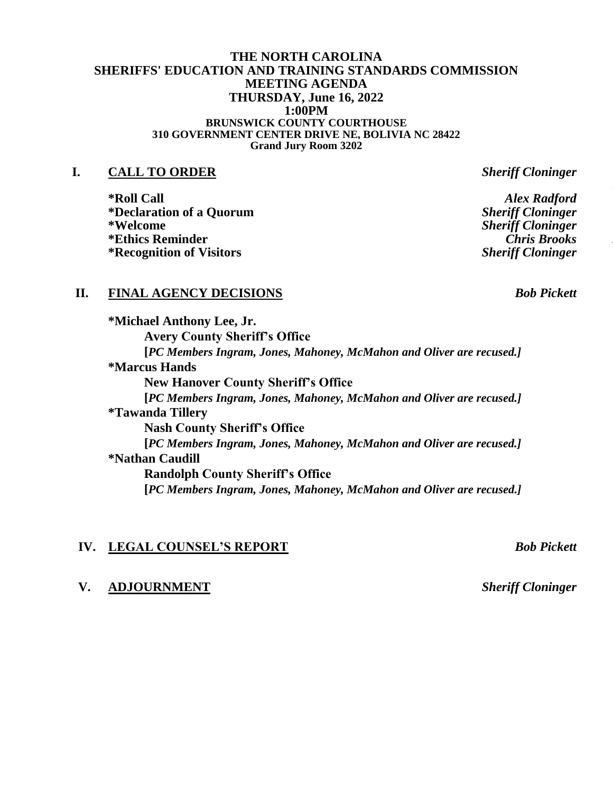### **THE NORTH CAROLINA SHERIFFS' EDUCATION AND TRAINING STANDARDS COMMISSION MEETING AGENDA THURSDAY, June 16, 2022 1:00PM BRUNSWICK COUNTY COURTHOUSE 310 GOVERNMENT CENTER DRIVE NE, BOLIVIA NC 28422 Grand Jury Room 3202**

## **I. CALL TO ORDER** *Sheriff Cloninger*

**\*Roll Call** *Alex Radford*  $*$ **Declaration of a Quorum \*Welcome** *Sheriff Cloninger* **\*Ethics Reminder** *Chris Brooks John Congleton* **\*Recognition of Visitors** *Sheriff Cloninger*

# **II. FINAL AGENCY DECISIONS** *Bob Pickett*

**\*Michael Anthony Lee, Jr. Avery County Sheriff's Office [***PC Members Ingram, Jones, Mahoney, McMahon and Oliver are recused.]* **\*Marcus Hands New Hanover County Sheriff's Office [***PC Members Ingram, Jones, Mahoney, McMahon and Oliver are recused.]* **\*Tawanda Tillery Nash County Sheriff's Office [***PC Members Ingram, Jones, Mahoney, McMahon and Oliver are recused.]* **\*Nathan Caudill Randolph County Sheriff's Office [***PC Members Ingram, Jones, Mahoney, McMahon and Oliver are recused.]*

# **IV. LEGAL COUNSEL'S REPORT** *Bob Pickett*

## **V. ADJOURNMENT** *Sheriff Cloninger*